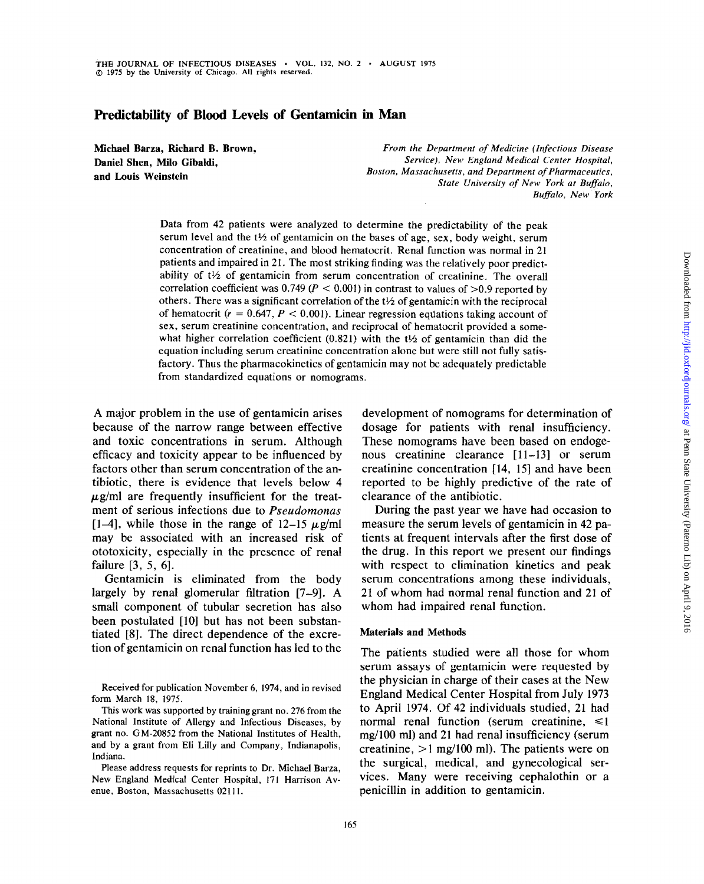# Predictability of Blood Levels of Gentamicin in Man

Michael Barza, Richard B. Brown, Daniel Shen, Milo Gibaldi, and Louis Weinstein

*From the Department of Medicine (Infectious Disease Service), New England Medical Center Hospital,*  $B$ *oston, Massachusetts, and Department of Pharmaceutics, State University of New York at Buffalo, Buffalo, Neiv -York*

Data from 42 patients were analyzed to determine the predictability of the peak serum level and the t½ of gentamicin on the bases of age, sex, body weight, serum concentration of creatinine, and blood hematocrit. Renal function was normal in 21 patients and impaired in 21. The most striking finding was the relatively poor predictability of  $t/2$  of gentamicin from serum concentration of creatinine. The overall correlation coefficient was 0.749 ( $P < 0.001$ ) in contrast to values of  $> 0.9$  reported by others. There was a significant correlation of the  $t\frac{1}{2}$  of gentamicin with the reciprocal of hematocrit ( $r = 0.647$ ,  $P < 0.001$ ). Linear regression equations taking account of sex, serum creatinine concentration, and reciprocal of hematocrit provided a somewhat higher correlation coefficient  $(0.821)$  with the t<sup>1</sup>/<sub>2</sub> of gentamicin than did the equation including serum creatinine concentration alone but were still not fully satisfactory. Thus the pharmacokinetics of gentamicin may not be adequately predictable from standardized equations or nomograms.

A major problem in the use of gentamicin arises because of the narrow range between effective and toxic concentrations in serum. Although efficacy and toxicity appear to be influenced by factors other than serum concentration of the antibiotic, there is evidence that levels below 4  $\mu$ g/ml are frequently insufficient for the treatment of serious infections due to *Pseudomonas* [1-4], while those in the range of  $12-15 \mu$ g/ml may be associated with an increased risk of ototoxicity, especially in the presence of renal failure [3, 5, 6].

Gentamicin is eliminated from the body largely by renal glomerular filtration [7-9]. A small component of tubular secretion has also been postulated [10] but has not been substantiated [8]. The direct dependence of the excretion of gentamicin on renal function has led to the development of nomograms for determination of dosage for patients with renal insufficiency. These nomograms have been based on endogenous creatinine clearance [11-13] or serum creatinine concentration [14, 15] and have been reported to be highly predictive of the rate of clearance of the antibiotic.

During the past year we have had occasion to measure the serum levels of gentamicin in 42 patients at frequent intervals after the first dose of the drug. In this report we present our findings with respect to elimination kinetics and peak serum concentrations among these individuals, 21 of whom had normal renal function and 21 of whom had impaired renal function.

### Materials and Methods

The patients studied were all those for whom serum assays of gentamicin were requested by the physician in charge of their cases at the New England Medical Center Hospital from July 1973 to April 1974. Of 42 individuals studied, 21 had normal renal function (serum creatinine,  $\leq 1$ mg/l00 ml) and 21 had renal insufficiency (serum creatinine,  $>1$  mg/100 ml). The patients were on the surgical, medical, and gynecological services. Many were receiving cephalothin or a penicillin in addition to gentamicin.

Received for publication November 6, 1974, and in revised form March 18, 1975.

This work was supported by training grant no. 276 from the National Institute of Allergy and Infectious Diseases, by grant no. G M-20852 from the National Institutes of Health, and by a grant from Eli Lilly and Company, Indianapolis, Indiana.

Please address requests for reprints to Dr. Michael Barza, New England Medical Center Hospital, 171 Harrison Avenue, Boston, Massachusetts 02111.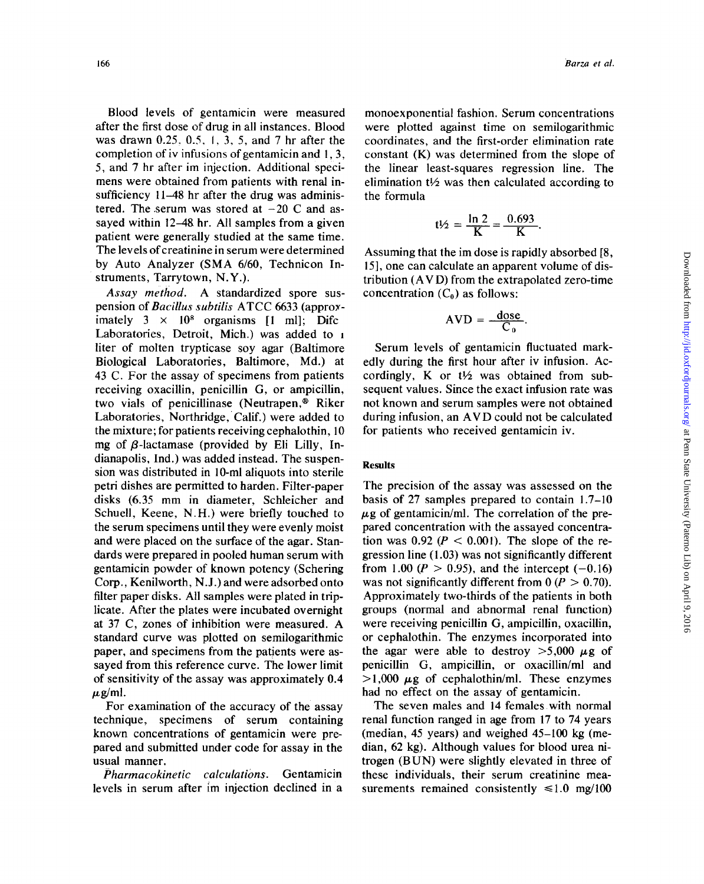Blood levels of gentamicin were measured after the first dose of drug in all instances. Blood was drawn 0.25, 0.5, I, 3, 5, and 7 hr after the completion of iv infusions of gentamicin and 1,3, 5, and 7 hr after im injection. Additional specimens were obtained from patients with renal insufficiency 11-48 hr after the drug was administered. The serum was stored at  $-20$  C and assayed within 12-48 hr. All samples from a given patient were generally studied at the same time. The levels of creatinine in serum were determined by Auto Analyzer (SMA 6/60, Technicon Instruments, Tarrytown, N. Y.).

Assay method. A standardized spore suspension of *Bacillus subtilis* ATCC 6633 (approximately  $3 \times 10^8$  organisms [1 ml]; Difc Laboratories, Detroit, Mich.) was added to 1 liter of molten trypticase soy agar (Baltimore Biological Laboratories, Baltimore, Md.) at 43 C. For the assay of specimens from patients receiving oxacillin, penicillin G, or ampicillin, two vials of penicillinase (Neutrapen,® Riker Laboratories, Northridge, Calif.) were added to the mixture; for patients receiving cephalothin, 10 mg of  $\beta$ -lactamase (provided by Eli Lilly, Indianapolis, Ind.) was added instead. The suspension was distributed in 10-ml aliquots into sterile petri dishes are permitted to harden. Filter-paper disks (6.35 mm in diameter, Schleicher and Schuell, Keene, N.H.) were briefly touched to the serum specimens until they were evenly moist and were placed on the surface of the agar. Standards were prepared in pooled human serum with gentamicin powder of known potency (Schering Corp., Kenilworth, N.J.) and were adsorbed onto filter paper disks. All samples were plated in triplicate. After the plates were incubated overnight at 37 C, zones of inhibition were measured. A standard curve was plotted on semilogarithmic paper, and specimens from the patients were assayed from this reference curve. The lower limit of sensitivity of the assay was approximately 0.4  $\mu$ g/ml.

For examination of the accuracy of the assay technique, specimens of serum containing known concentrations of gentamicin were prepared and submitted under code for assay in the usual manner.

*Pharmacokinetic calculations.* Gentamicin levels in serum after im injection declined in a monoexponential fashion. Serum concentrations were plotted against time on semilogarithmic coordinates, and the first-order elimination rate constant (K) was determined from the slope of the linear least-squares regression line. The elimination  $t\frac{1}{2}$  was then calculated according to the formula

$$
t\frac{1}{2} = \frac{\ln 2}{K} = \frac{0.693}{K}.
$$

Assuming that the im dose is rapidly absorbed [8, 15], one can calculate an apparent volume of distribution (AVD) from the extrapolated zero-time concentration  $(C_0)$  as follows:

$$
AVD = \frac{\text{dose}}{C_0}.
$$

Serum levels of gentamicin fluctuated markedly during the first hour after iv infusion. Accordingly, K or  $t\frac{1}{2}$  was obtained from subsequent values. Since the exact infusion rate was not known and serum samples were not obtained during infusion, an AVD could not be calculated for patients who received gentamicin iv.

### Results

The precision of the assay was assessed on the basis of 27 samples prepared to contain 1.7-10  $\mu$ g of gentamicin/ml. The correlation of the prepared concentration with the assayed concentration was 0.92 ( $P < 0.001$ ). The slope of the regression line (1.03) was not significantly different from 1.00 ( $P > 0.95$ ), and the intercept (-0.16) was not significantly different from  $0 (P > 0.70)$ . Approximately two-thirds of the patients in both groups (normal and abnormal renal function) were receiving penicillin G, ampicillin, oxacillin, or cephalothin. The enzymes incorporated into the agar were able to destroy  $>5,000$   $\mu$ g of penicillin G, ampicillin, or oxacillin/ml and  $> 1,000 \mu$ g of cephalothin/ml. These enzymes had no effect on the assay of gentamicin.

The seven males and 14 females with normal renal function ranged in age from 17 to 74 years (median, 45 years) and weighed 45-100 kg (median, 62 kg). Although values for blood urea nitrogen (B UN) were slightly elevated in three of these individuals, their serum creatinine measurements remained consistently  $\leq 1.0$  mg/l00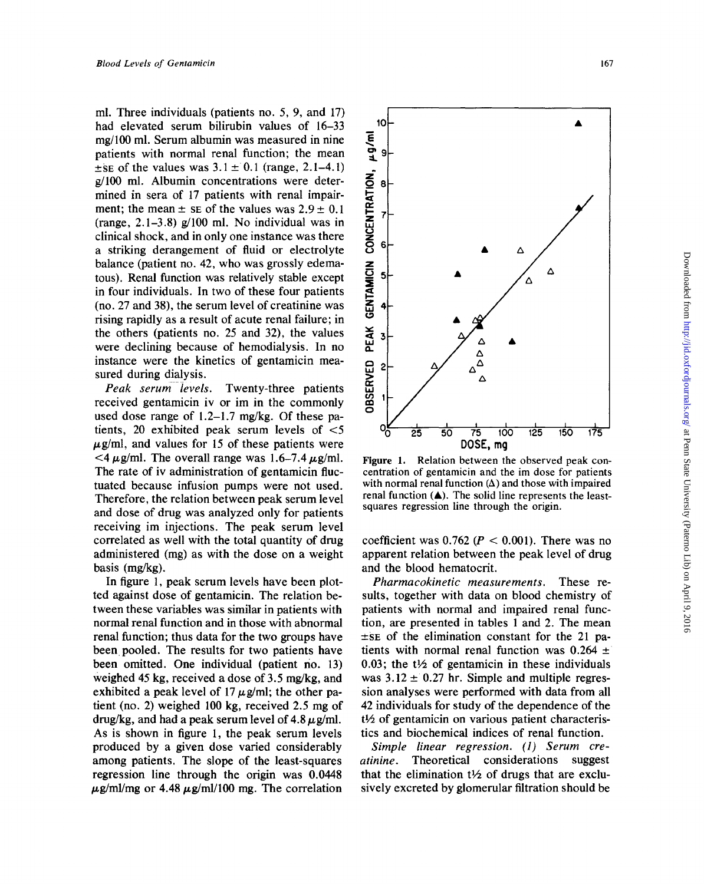ml. Three individuals (patients no. 5, 9, and 17) had elevated serum bilirubin values of 16-33 mg/100 ml. Serum albumin was measured in nine patients with normal renal function; the mean  $\pm$ SE of the values was  $3.1 \pm 0.1$  (range, 2.1–4.1) g/l00 ml. Albumin concentrations were determined in sera of 17 patients with renal impairment; the mean  $\pm$  se of the values was  $2.9 \pm 0.1$ (range,  $2.1-3.8$ ) g/100 ml. No individual was in clinical shock, and in only one instance was there a striking derangement of fluid or electrolyte balance (patient no. 42, who was grossly edematous). Renal function was relatively stable except in four individuals. In two of these four patients (no. 27 and 38), the serum level of creatinine was rising rapidly as a result of acute renal failure; in the others (patients no. 25 and 32), the values were declining because of hemodialysis. In no instance were the kinetics of gentamicin measured during dialysis.

Peak serum levels. Twenty-three patients received gentamicin iv or im in the commonly used dose range of 1.2-1.7 mg/kg. Of these patients, 20 exhibited peak serum levels of <5  $\mu$ g/ml, and values for 15 of these patients were  $<$ 4  $\mu$ g/ml. The overall range was 1.6-7.4  $\mu$ g/ml. The rate of iv administration of gentamicin fluctuated because infusion pumps were not used. Therefore, the relation between peak serum level and dose of drug was analyzed only for patients receiving im injections. The peak serum level correlated as well with the total quantity of drug administered (mg) as with the dose on a weight basis (mg/kg).

In figure 1, peak serum levels have been plotted against dose of gentamicin. The relation between these variables was similar in patients with normal renal function and in those with abnormal renal function; thus data for the two groups have been pooled. The results for two patients have been omitted. One individual (patient no. 13) weighed 45 kg, received a dose of 3.5 mg/kg, and exhibited a peak level of 17  $\mu$ g/ml; the other patient (no. 2) weighed 100 kg, received 2.5 mg of drug/kg, and had a peak serum level of  $4.8 \mu$ g/ml. As is shown in figure 1, the peak serum levels produced by a given dose varied considerably among patients. The slope of the least-squares regression line through the origin was 0.0448  $\mu$ g/ml/mg or 4.48  $\mu$ g/ml/100 mg. The correlation



Figure 1. Relation between the observed peak concentration of gentamicin and the im dose for patients with normal renal function  $(\Delta)$  and those with impaired renal function  $(A)$ . The solid line represents the leastsquares regression line through the origin.

coefficient was 0.762 ( $P < 0.001$ ). There was no apparent relation between the peak level of drug and the blood hematocrit.

*Pharmacokinetic measurements.* These results, together with data on blood chemistry of patients with normal and impaired renal function, are presented in tables 1 and 2. The mean  $\pm$ SE of the elimination constant for the 21 patients with normal renal function was  $0.264 \pm$ 0.03; the  $t\frac{1}{2}$  of gentamicin in these individuals was  $3.12 \pm 0.27$  hr. Simple and multiple regression analyses were performed with data from all 42 individuals for study of the dependence of the *tYl* of gentamicin on various patient characteristics and biochemical indices of renal function.

*Simple linear regression.* (1) *Serum creatinine.* Theoretical considerations suggest that the elimination *tYl* of drugs that are exclusively excreted by glomerular filtration should be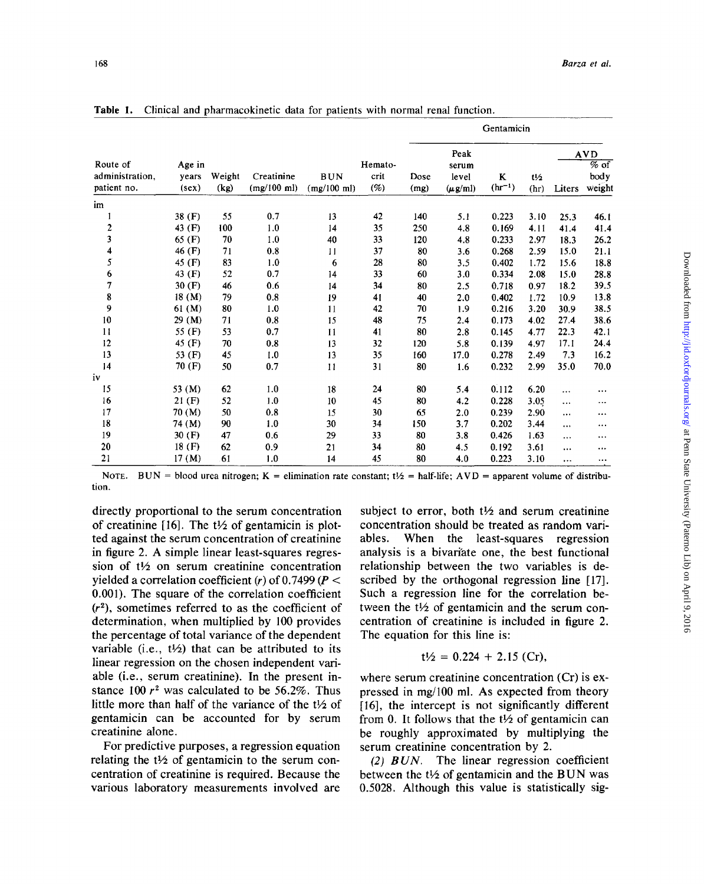|                                            |                                   | Weight<br>(kg) | Creatinine<br>$(mg/100 \text{ ml})$ | <b>BUN</b><br>$(mg/100 \text{ ml})$ | Hemato-<br>crit<br>(%) | Gentamicin   |                                        |                  |                        |            |                          |
|--------------------------------------------|-----------------------------------|----------------|-------------------------------------|-------------------------------------|------------------------|--------------|----------------------------------------|------------------|------------------------|------------|--------------------------|
| Route of<br>administration.<br>patient no. |                                   |                |                                     |                                     |                        |              | Peak<br>serum<br>level<br>$(\mu g/ml)$ | K<br>$(hr^{-1})$ | $t\frac{1}{2}$<br>(hr) | <b>AVD</b> |                          |
|                                            | Age in<br>years<br>$(\text{sex})$ |                |                                     |                                     |                        | Dose<br>(mg) |                                        |                  |                        | Liters     | $%$ of<br>body<br>weight |
| im                                         |                                   |                |                                     |                                     |                        |              |                                        |                  |                        |            |                          |
|                                            | 38 (F)                            | 55             | 0.7                                 | 13                                  | 42                     | 140          | 5.1                                    | 0.223            | 3.10                   | 25.3       | 46.1                     |
| $\boldsymbol{2}$                           | 43 (F)                            | 100            | 1.0                                 | 14                                  | 35                     | 250          | 4.8                                    | 0.169            | 4.11                   | 41.4       | 41.4                     |
| 3                                          | 65 (F)                            | 70             | 1.0                                 | 40                                  | 33                     | 120          | 4.8                                    | 0.233            | 2.97                   | 18.3       | 26.2                     |
| 4                                          | 46 (F)                            | 71             | $\mathbf{0.8}$                      | 11                                  | 37                     | 80           | 3.6                                    | 0.268            | 2.59                   | 15.0       | 21.1                     |
| $\overline{5}$                             | 45(F)                             | 83             | 1.0                                 | 6                                   | 28                     | 80           | 3.5                                    | 0.402            | 1.72                   | 15.6       | 18.8                     |
| 6                                          | 43 (F)                            | 52             | 0.7                                 | 14                                  | 33                     | 60           | 3.0                                    | 0.334            | 2.08                   | 15.0       | 28.8                     |
| 7                                          | 30(F)                             | 46             | 0.6                                 | 14                                  | 34                     | 80           | 2.5                                    | 0.718            | 0.97                   | 18.2       | 39.5                     |
| 8                                          | 18(M)                             | 79             | 0.8                                 | 19                                  | 41                     | 40           | 2.0                                    | 0.402            | 1.72                   | 10.9       | 13.8                     |
| 9                                          | $61 \, (M)$                       | 80             | 1.0                                 | 11                                  | 42                     | 70           | 1.9                                    | 0.216            | 3.20                   | 30.9       | 38.5                     |
| 10                                         | 29 (M)                            | 71             | 0.8                                 | 15                                  | 48                     | 75           | 2.4                                    | 0.173            | 4.02                   | 27.4       | 38.6                     |
| 11                                         | 55 (F)                            | 53             | 0.7                                 | 11                                  | 41                     | 80           | 2.8                                    | 0.145            | 4.77                   | 22.3       | 42.1                     |
| 12                                         | 45 (F)                            | 70             | 0.8                                 | 13                                  | 32                     | 120          | 5.8                                    | 0.139            | 4.97                   | 17.1       | 24.4                     |
| 13                                         | 53 (F)                            | 45             | 1.0                                 | 13                                  | 35                     | 160          | 17.0                                   | 0.278            | 2.49                   | 7.3        | 16.2                     |
| 14                                         | 70 (F)                            | 50             | 0.7                                 | $\mathbf{11}$                       | 31                     | 80           | 1.6                                    | 0.232            | 2.99                   | 35.0       | 70.0                     |
| iv                                         |                                   |                |                                     |                                     |                        |              |                                        |                  |                        |            |                          |
| 15                                         | 53 (M)                            | 62             | 1.0                                 | 18                                  | 24                     | 80           | 5.4                                    | 0.112            | 6.20                   |            |                          |
| 16                                         | 21(F)                             | 52             | 1.0                                 | 10                                  | 45                     | 80           | 4.2                                    | 0.228            | 3.05                   | .          | $\ddotsc$                |
| 17                                         | 70 (M)                            | 50             | 0.8                                 | 15                                  | 30                     | 65           | 2.0                                    | 0.239            | 2.90                   | $\cdots$   | $\cdots$                 |
| 18                                         | 74 (M)                            | 90             | 1.0                                 | 30                                  | 34                     | 150          | 3.7                                    | 0.202            | 3.44                   | $\cdots$   | $\cdots$                 |
| 19                                         | 30(F)                             | 47             | 0.6                                 | 29                                  | 33                     | 80           | 3.8                                    | 0.426            | 1.63                   | $\cdots$   | $\cdots$                 |
| 20                                         | 18(F)                             | 62             | 0.9                                 | 21                                  | 34                     | 80           | 4.5                                    | 0.192            | 3.61                   | $\cdots$   | $\cdots$                 |
| 21                                         | 17(M)                             | 61             | 1.0                                 | 14                                  | 45                     | 80           | 4.0                                    | 0.223            | 3.10                   |            | $\cdots$                 |

Table 1. Clinical and pharmacokinetic data for patients with normal renal function.

NOTE. BUN = blood urea nitrogen; K = elimination rate constant; t $1/2$  = half-life; AVD = apparent volume of distribution.

directly proportional to the serum concentration of creatinine [16]. The  $t\frac{1}{2}$  of gentamicin is plotted against the serum concentration of creatinine in figure 2. A simple linear least-squares regression of  $t\frac{1}{2}$  on serum creatinine concentration yielded a correlation coefficient (r) of 0.7499 (P *<* 0.001). The square of the correlation coefficient  $(r<sup>2</sup>)$ , sometimes referred to as the coefficient of determination, when multiplied by 100 provides the percentage of total variance of the dependent variable (i.e.,  $t\frac{1}{2}$ ) that can be attributed to its linear regression on the chosen independent variable (i.e., serum creatinine). In the present instance 100  $r^2$  was calculated to be 56.2%. Thus little more than half of the variance of the  $t\frac{1}{2}$  of gentamicin can be accounted for by serum creatinine alone.

For predictive purposes, a regression equation relating the  $t\frac{1}{2}$  of gentamicin to the serum concentration of creatinine is required. Because the various laboratory measurements involved are subject to error, both  $t\frac{1}{2}$  and serum creatinine concentration should be treated as random variables. When the least-squares regression analysis is a bivariate one, the best functional relationship between the two variables is described by the orthogonal regression line [17]. Such a regression line for the correlation between the *tYl* of gentamicin and the serum concentration of creatinine is included in figure 2. The equation for this line is:

$$
t\frac{1}{2} = 0.224 + 2.15
$$
 (Cr),

where serum creatinine concentration (Cr) is expressed in mg/100 m!. As expected from theory [16], the intercept is not significantly different from 0. It follows that the  $t\frac{1}{2}$  of gentamicin can be roughly approximated by multiplying the serum creatinine concentration by 2.

*(2) B UN.* The linear regression coefficient between the  $t\frac{1}{2}$  of gentamicin and the BUN was 0.5028. Although this value is statistically sig-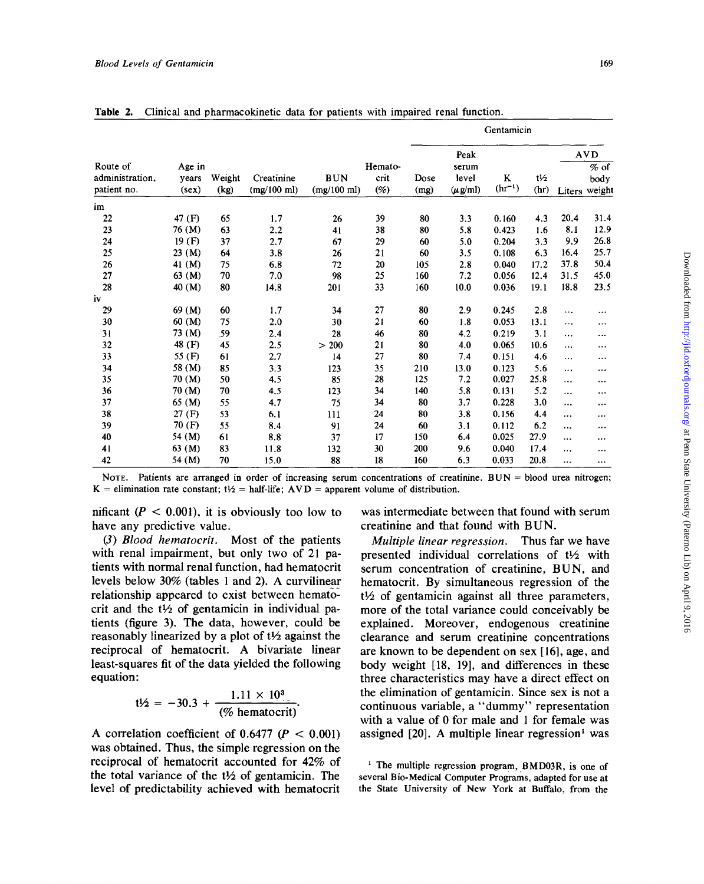|                 |        |        |                       |                       |         | Gentamicin |              |             |                |            |               |
|-----------------|--------|--------|-----------------------|-----------------------|---------|------------|--------------|-------------|----------------|------------|---------------|
|                 |        |        |                       |                       |         |            | Peak         |             |                | <b>AVD</b> |               |
| Route of        | Age in |        |                       |                       | Hemato- |            | serum        |             |                |            | $%$ of        |
| administration. | years  | Weight | Creatinine            | <b>BUN</b>            | crit    | Dose       | level        | K           | $t\frac{1}{2}$ |            | body          |
| patient no.     | (sex)  | (kg)   | $(mg/100 \text{ ml})$ | $(mg/100 \text{ ml})$ | (%)     | (mg)       | $(\mu$ g/ml) | $(hr^{-1})$ | (hr)           |            | Liters weight |
| im              |        |        |                       |                       |         |            |              |             |                |            |               |
| 22              | 47 (F) | 65     | 1.7                   | 26                    | 39      | 80         | 3.3          | 0.160       | 4.3            | 20.4       | 31.4          |
| 23              | 76 (M) | 63     | 2.2                   | 41                    | 38      | 80         | 5.8          | 0.423       | 1.6            | 8.1        | 12.9          |
| 24              | 19(F)  | 37     | 2.7                   | 67                    | 29      | 60         | 5.0          | 0.204       | 3.3            | 9.9        | 26.8          |
| 25              | 23(M)  | 64     | 3.8                   | 26                    | 21      | 60         | 3.5          | 0.108       | 6.3            | 16.4       | 25.7          |
| 26              | 41 (M) | 75     | 6.8                   | 72                    | 20      | 105        | 2.8          | 0.040       | 17.2           | 37.8       | 50.4          |
| 27              | 63 (M) | 70     | 7.0                   | 98                    | 25      | 160        | 7.2          | 0.056       | 12.4           | 31.5       | 45.0          |
| 28              | 40(M)  | 80     | 14.8                  | 201                   | 33      | 160        | 10.0         | 0.036       | 19.1           | 18.8       | 23.5          |
| iv              |        |        |                       |                       |         |            |              |             |                |            |               |
| 29              | 69 (M) | 60     | 1.7                   | 34                    | 27      | 80         | 2.9          | 0.245       | 2.8            |            | $\cdots$      |
| 30              | 60(M)  | 75     | 2.0                   | 30                    | 21      | 60         | 1.8          | 0.053       | 13.1           | $\ddotsc$  | $\cdots$      |
| 31              | 73 (M) | 59     | 2.4                   | 28                    | 46      | 80         | 4.2          | 0.219       | 3.1            |            | .             |
| 32              | 48 (F) | 45     | 2.5                   | > 200                 | 21      | 80         | 4.0          | 0.065       | 10.6           |            | $\cdots$      |
| 33              | 55 (F) | 61     | 2.7                   | 14                    | 27      | 80         | 7.4          | 0.151       | 4.6            |            | $\cdots$      |
| 34              | 58 (M) | 85     | 3.3                   | 123                   | 35      | 210        | 13.0         | 0.123       | 5.6            |            | $\cdots$      |
| 35              | 70 (M) | 50     | 4.5                   | 85                    | 28      | 125        | 7.2          | 0.027       | 25.8           | .          | $\cdots$      |
| 36              | 70 (M) | 70     | 4.5                   | 123                   | 34      | 140        | 5.8          | 0.131       | 5.2            |            | $\cdots$      |
| 37              | 65 (M) | 55     | 4.7                   | 75                    | 34      | 80         | 3.7          | 0.228       | 3.0            |            | $\cdots$      |
| 38              | 27(F)  | 53     | 6.1                   | 111                   | 24      | 80         | 3,8          | 0.156       | 4.4            | $\cdots$   | $\cdots$      |
| 39              | 70 (F) | 55     | 8.4                   | 91                    | 24      | 60         | 3.1          | 0.112       | 6.2            | $\cdots$   |               |
| 40              | 54 (M) | 61     | 8.8                   | 37                    | 17      | 150        | 6.4          | 0.025       | 27.9           | $\cdots$   | $\cdots$      |
| 41              | 63 (M) | 83     | 11.8                  | 132                   | 30      | 200        | 9.6          | 0.040       | 17.4           |            |               |
| 42              | 54 (M) | 70     | 15.0                  | 88                    | 18      | 160        | 6.3          | 0.033       | 20.8           |            | $\cdots$      |

Table 2. Clinical and pharmacokinetic data for patients with impaired renal function.

NOTE. Patients are arranged in order of increasing serum concentrations of creatinine. BUN = blood urea nitrogen;  $K =$  elimination rate constant;  $t/2 =$  half-life;  $AVD =$  apparent volume of distribution.

nificant ( $P < 0.001$ ), it is obviously too low to have any predictive value.

*(3) Blood hematocrit.* Most of the patients with renal impairment, but only two of 21 patients with normal renal function, had hematocrit levels below 30% (tables 1 and 2). A curvilinear relationship appeared to exist between hematocrit and the  $t\frac{1}{2}$  of gentamicin in individual patients (figure 3). The data, however, could be reasonably linearized by a plot of  $\frac{1}{2}$  against the reciprocal of hematocrit. A bivariate linear least-squares fit of the data yielded the following equation:

$$
t\frac{1}{2} = -30.3 + \frac{1.11 \times 10^3}{(\% \text{ hematocrit})}.
$$

A correlation coefficient of 0.6477 ( $P < 0.001$ ) was obtained. Thus, the simple regression on the reciprocal of hematocrit accounted for 42% of the total variance of the  $t\frac{1}{2}$  of gentamicin. The level of predictability achieved with hematocrit

was intermediate between that found with serum creatinine and that found with BUN.

*Multiple linear regression.* Thus far we have presented individual correlations of  $t\frac{1}{2}$  with serum concentration of creatinine, BUN, and hematocrit. By simultaneous regression of the  $t\frac{1}{2}$  of gentamicin against all three parameters, more of the total variance could conceivably be explained. Moreover, endogenous creatinine clearance and serum creatinine concentrations are known to be dependent on sex [16], age, and body weight [18, 19], and differences in these three characteristics may have a direct effect on the elimination of gentamicin. Since sex is not a continuous variable, a "dummy" representation with a value of 0 for male and 1 for female was assigned  $[20]$ . A multiple linear regression<sup>1</sup> was

<sup>1</sup> The multiple regression program, BMD03R, is one of several Bio-Medical Computer Programs, adapted for use at the State University of New York at Buffalo, from the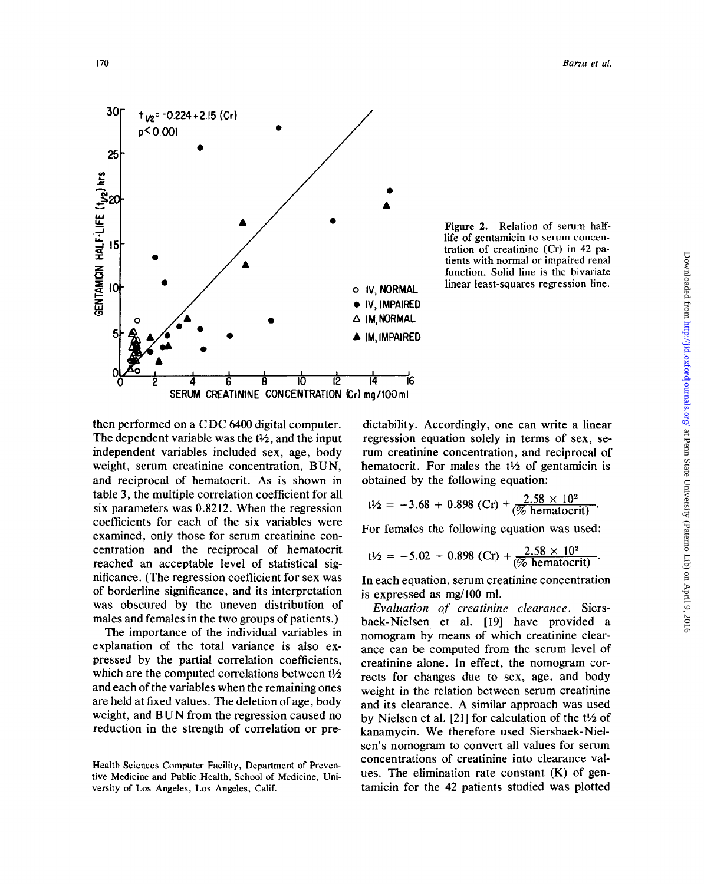

Figure 2. Relation of serum halflife of gentamicin to serum concentration of creatinine (Cr) in 42 patients with normal or impaired renal function. Solid line is the bivariate linear least-squares regression line.

then performed on a CDC 6400 digital computer. The dependent variable was the  $t\frac{1}{2}$ , and the input independent variables included sex, age, body weight, serum creatinine concentration, BUN, and reciprocal of hematocrit. As is shown in table 3, the multiple correlation coefficient for all six parameters was 0.8212. When the regression coefficients for each of the six variables were examined, only those for serum creatinine concentration and the reciprocal of hematocrit reached an acceptable level of statistical significance. (The regression coefficient for sex was of borderline significance, and its interpretation was obscured by the uneven distribution of males and females in the two groups of patients.)

The importance of the individual variables in explanation of the total variance is also expressed by the partial correlation coefficients, which are the computed correlations between  $t\frac{1}{2}$ and each of the variables when the remaining ones are held at fixed values. The deletion of age, body weight, and BUN from the regression caused no reduction in the strength of correlation or predictability. Accordingly, one can write a linear regression equation solely in terms of sex, serum creatinine concentration, and reciprocal of hematocrit. For males the  $t\frac{1}{2}$  of gentamicin is obtained by the following equation:

$$
t\frac{1}{2} = -3.68 + 0.898 \text{ (Cr)} + \frac{2.58 \times 10^2}{\frac{6}{6} \text{ hematocrit}}.
$$

For females the following equation was used:

$$
t\frac{1}{2} = -5.02 + 0.898 \text{ (Cr)} + \frac{2.58 \times 10^2}{\frac{6}{2} \text{ hematocrit)}}
$$

In each equation, serum creatinine concentration is expressed as mg/l00 ml.

*Evaluation of creatinine clearance.* Siersbaek-Nielsen et al. [19] have provided a nomogram by means of which creatinine clearance can be computed from the serum level of creatinine alone. In effect, the nomogram corrects for changes due to sex, age, and body weight in the relation between serum creatinine and its clearance. A similar approach was used by Nielsen et al. [21] for calculation of the  $t\frac{1}{2}$  of kanamycin. We therefore used Siersbaek-Nielsen's nomogram to convert all values for serum concentrations of creatinine into clearance values. The elimination rate constant (K) of gentamicin for the 42 patients studied was plotted

Health Sciences Computer Facility, Department of Preventive Medicine and Public .Health, School of Medicine, University of Los Angeles, Los Angeles, Calif.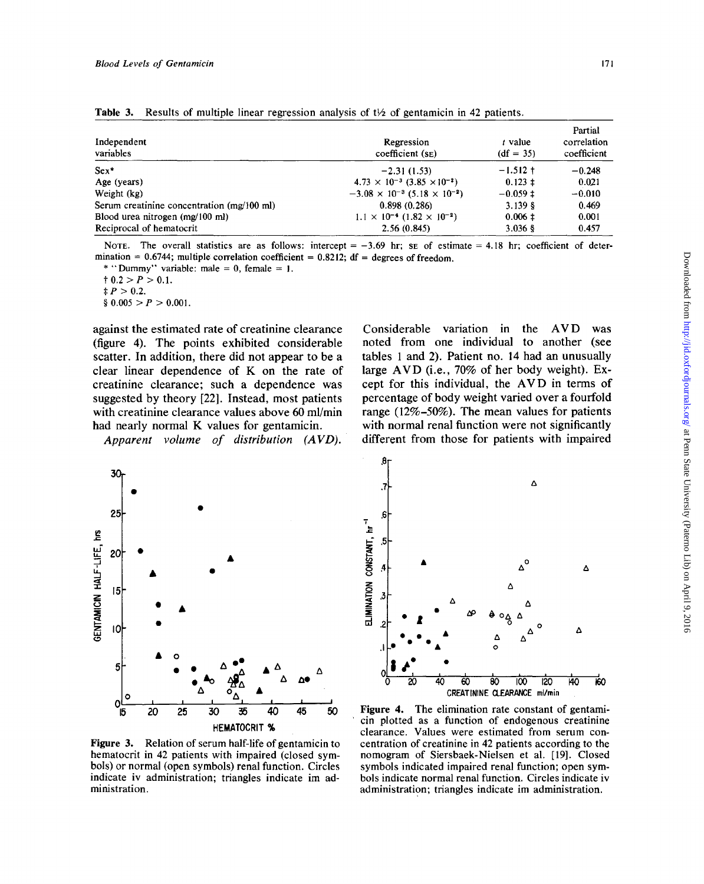| Independent<br>variables                   | Regression<br>coefficient (SE)                           | t value<br>$(df = 35)$ | Partial<br>correlation<br>coefficient |
|--------------------------------------------|----------------------------------------------------------|------------------------|---------------------------------------|
| $Sex*$                                     | $-2.31(1.53)$                                            | $-1.512 +$             | $-0.248$                              |
| Age (years)                                | $4.73 \times 10^{-3}$ $(3.85 \times 10^{-2})$            | $0.123 \pm$            | 0.021                                 |
| Weight (kg)                                | $-3.08 \times 10^{-3}$ (5.18 $\times$ 10 <sup>-2</sup> ) | $-0.059 \pm$           | $-0.010$                              |
| Serum creatinine concentration (mg/100 ml) | 0.898(0.286)                                             | 3.139S                 | 0.469                                 |
| Blood urea nitrogen (mg/100 ml)            | $1.1 \times 10^{-4}$ (1.82 $\times 10^{-2}$ )            | $0.006 \pm$            | 0.001                                 |
| Reciprocal of hematocrit                   | 2.56(0.845)                                              | $3.036$ §              | 0.457                                 |

**Table 3.** Results of multiple linear regression analysis of  $t\frac{1}{2}$  of gentamicin in 42 patients.

NOTE. The overall statistics are as follows: intercept =  $-3.69$  hr; se of estimate = 4.18 hr; coefficient of determination = 0.6744; multiple correlation coefficient = 0.8212;  $df =$  degrees of freedom.

\* "Dummy" variable: male = 0, female = 1.

 $\uparrow$  0.2 > *P* > 0.1.

 $\ddagger P > 0.2$ .  $§ 0.005 > P > 0.001.$ 

against the estimated rate of creatinine clearance (figure 4). The points exhibited considerable scatter. In addition, there did not appear to be a clear linear dependence of K on the rate of creatinine clearance; such a dependence was suggested by theory [22]. Instead, most patients with creatinine clearance values above 60 ml/min had nearly normal K values for gentamicin.

*Apparent volume of distribution (AVD).*

Considerable variation in the AVD was noted from one individual to another (see tables 1 and 2). Patient no. 14 had an unusually large AVD (i.e., 70% of her body weight). Except for this individual, the AVD in terms of percentage of body weight varied over a fourfold range (12%-50%). The mean values for patients with normal renal function were not significantly different from those for patients with impaired



Figure 3. Relation of serum half-life of gentamicin to hematocrit in 42 patients with impaired (closed symbols) or normal (open symbols) renal function. Circles indicate iv administration; triangles indicate im administration.



Figure 4. The elimination rate constant of gentamicin plotted as a function of endogenous creatinine clearance. Values were estimated from serum concentration of creatinine in 42 patients according to the nomogram of Siersbaek-Nielsen et al. [19]. Closed symbols indicated impaired renal function; open symbols indicate normal renal function. Circles indicate iv administration; triangles indicate im administration.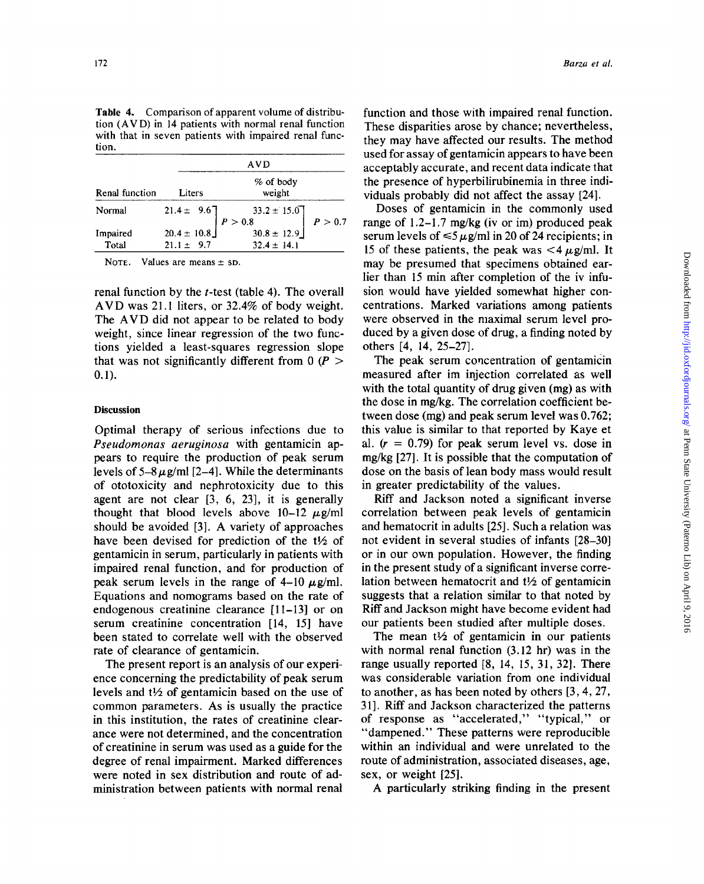Table 4. Comparison of apparent volume of distribution (AV D) in 14 patients with normal renal function with that in seven patients with impaired renal function.

|                   | <b>AVD</b>     |                                                                   |         |  |  |  |  |
|-------------------|----------------|-------------------------------------------------------------------|---------|--|--|--|--|
| Renal function    | Liters         | % of body<br>weight                                               |         |  |  |  |  |
| Normal            |                | $21.4 \pm 9.6$<br>$20.4 \pm 10.8$<br>$P > 0.8$<br>$30.8 \pm 12.9$ | P > 0.7 |  |  |  |  |
| Impaired<br>Total | $21.1 \pm 9.7$ | $32.4 \pm 14.1$                                                   |         |  |  |  |  |

NOTE. Values are means  $\pm$  sD.

renal function by the *t-test* (table 4). The overall AVD was 21.1 liters, or 32.4% of body weight. The AVD did not appear to be related to body weight, since linear regression of the two functions yielded a least-squares regression slope that was not significantly different from 0  $(P >$ 0.1).

## **Discussion**

Optimal therapy of serious infections due to *Pseudomonas aeruginosa* with gentamicin appears to require the production of peak serum levels of 5-8  $\mu$ g/ml [2-4]. While the determinants of ototoxicity and nephrotoxicity due to this agent are not clear [3, 6, 23], it is generally thought that blood levels above  $10-12 \mu$ g/ml should be avoided [3]. A variety of approaches have been devised for prediction of the  $t\frac{1}{2}$  of gentamicin in serum, particularly in patients with impaired renal function, and for production of peak serum levels in the range of  $4-10 \mu g/ml$ . Equations and nomograms based on the rate of endogenous creatinine clearance [11-13] or on serum creatinine concentration [14, 15] have been stated to correlate well with the observed rate of clearance of gentamicin.

The present report is an analysis of our experience concerning the predictability of peak serum levels and  $t\frac{1}{2}$  of gentamicin based on the use of common parameters. As is usually the practice in this institution, the rates of creatinine clearance were not determined, and the concentration of creatinine in serum was used as a guide for the degree of renal impairment. Marked differences were noted in sex distribution and route of administration between patients with normal renal

function and those with impaired renal function. These disparities arose by chance; nevertheless, they may have affected our results. The method used for assay of gentamicin appears to have been acceptably accurate, and recent data indicate that the presence of hyperbilirubinemia in three individuals probably did not affect the assay [24].

Doses of gentamicin in the commonly used range of 1.2-1.7 mg/kg (iv or im) produced peak serum levels of  $\leq 5 \mu g/ml$  in 20 of 24 recipients; in 15 of these patients, the peak was  $\lt 4 \mu$ g/ml. It may be presumed that specimens obtained earlier than 15 min after completion of the iv infusion would have yielded somewhat higher concentrations. Marked variations among patients were observed in the maximal serum level produced by a given dose of drug, a finding noted by others [4, 14, 25-27].

The peak serum concentration of gentamicin measured after im injection correlated as well with the total quantity of drug given (mg) as with the dose in mg/kg. The correlation coefficient between dose (mg) and peak serum level was 0.762; this value is similar to that reported by Kaye et al.  $(r = 0.79)$  for peak serum level vs. dose in mg/kg [27]. It is possible that the computation of dose on the basis of lean body mass would result in greater predictability of the values.

Riff and Jackson noted a significant inverse correlation between peak levels of gentamicin and hematocrit in adults [25]. Such a relation was not evident in several studies of infants [28-30] or in our own population. However, the finding in the present study of a significant inverse correlation between hematocrit and  $t\frac{1}{2}$  of gentamicin suggests that a relation similar to that noted by Riff and Jackson might have become evident had our patients been studied after multiple doses.

The mean  $t\frac{1}{2}$  of gentamicin in our patients with normal renal function (3.12 hr) was in the range usually reported [8, 14, 15,31,32]. There was considerable variation from one individual to another, as has been noted by others [3, 4, 27, 31]. Riff and Jackson characterized the patterns of response as "accelerated," "typical," or "dampened." These patterns were reproducible within an individual and were unrelated to the route of administration, associated diseases, age, sex, or weight [25].

A particularly striking finding in the present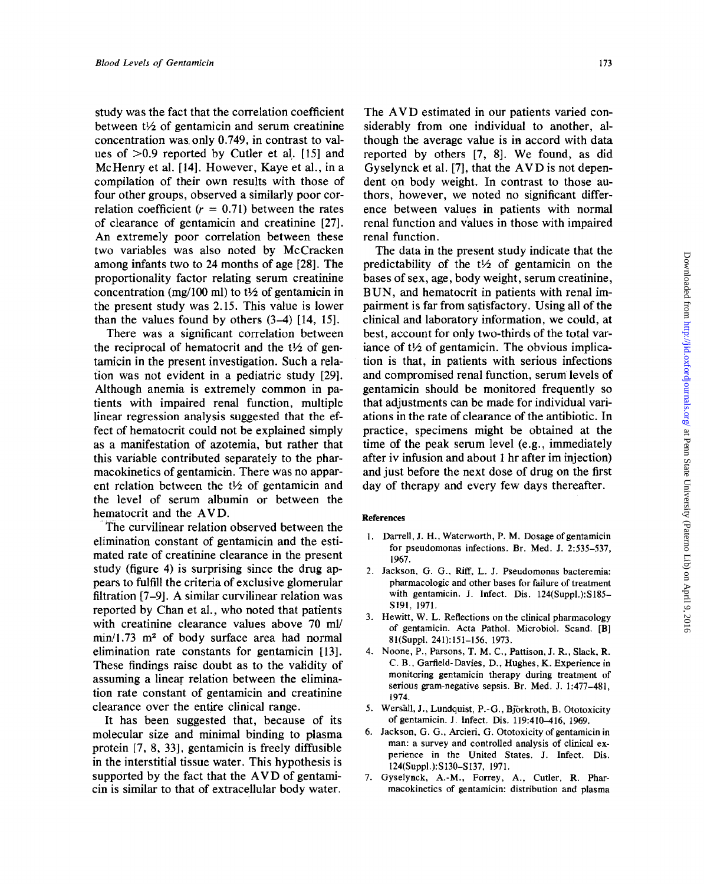study was the fact that the correlation coefficient between  $t\frac{1}{2}$  of gentamicin and serum creatinine concentration was, only 0.749, in contrast to values of  $>0.9$  reported by Cutler et al. [15] and McHenry et al. [14]. However, Kaye et al., in a compilation of their own results with those of four other groups, observed a similarly poor correlation coefficient  $(r = 0.71)$  between the rates of clearance of gentamicin and creatinine [27]. An extremely poor correlation between these two variables was also noted by McCracken among infants two to 24 months of age [28]. The proportionality factor relating serum creatinine concentration (mg/100 ml) to  $t\frac{1}{2}$  of gentamicin in the present study was 2.15. This value is lower than the values found by others  $(3-4)$  [14, 15].

There was a significant correlation between the reciprocal of hematocrit and the  $t\frac{1}{2}$  of gentamicin in the present investigation. Such a relation was not evident in a pediatric study [29]. Although anemia is extremely common in patients with impaired renal function, multiple linear regression analysis suggested that the effect of hematocrit could not be explained simply as a manifestation of azotemia, but rather that this variable contributed separately to the pharmacokinetics of gentamicin. There was no apparent relation between the  $t\frac{1}{2}$  of gentamicin and the level of serum albumin or between the hematocrit and the AYD.

.The curvilinear relation observed between the elimination constant of gentamicin and the estimated rate of creatinine clearance in the present study (figure 4) is surprising since the drug appears to fulfill the criteria of exclusive glomerular filtration [7-9]. A similar curvilinear relation was reported by Chan et al., who noted that patients with creatinine clearance values above 70 ml/  $min/1.73$  m<sup>2</sup> of body surface area had normal elimination rate constants for gentamicin [13]. These findings raise doubt as to the validity of assuming a linear relation between the elimination rate constant of gentamicin and creatinine clearance over the entire clinical range.

It has been suggested that, because of its molecular size and minimal binding to plasma protein [7, 8, 33], gentamicin is freely diffusible in the interstitial tissue water. This hypothesis is supported by the fact that the AVD of gentamicin is similar to that of extracellular body water.

The AVD estimated in our patients varied considerably from one individual to another, although the average value is in accord with data reported by others [7, 8]. We found, as did Gyselynck et al. [7], that the AV D is not dependent on body weight. In contrast to those authors, however, we noted no significant difference between values in patients with normal renal function and values in those with impaired renal function.

The data in the present study indicate that the predictability of the  $t\frac{1}{2}$  of gentamicin on the bases of sex, age, body weight, serum creatinine, BUN, and hematocrit in patients with renal impairment is far from satisfactory. Using all of the clinical and laboratory information, we could, at best, account for only two-thirds of the total variance of  $t\frac{1}{2}$  of gentamicin. The obvious implication is that, in patients with serious infections and compromised renal function, serum levels of gentamicin should be monitored frequently so that adjustments can be made for individual variations in the rate of clearance of the antibiotic. In practice, specimens might be obtained at the time of the peak serum level (e.g., immediately after iv infusion and about 1 hr after im injection) and just before the next dose of drug on the first day of therapy and every few days thereafter.

#### References

- 1. Darrell, J. H., Waterworth, P. M. Dosage of gentamicin for pseudomonas infections. Br. Med. J. 2:535-537, 1967.
- 2. Jackson, G. G., Riff, L. J. Pseudomonas bacteremia: pharmacologic and other bases for failure of treatment with gentamicin. J. Infect. Dis. 124(Suppl.):S185-S191, 1971.
- 3. Hewitt, W. L. Reflections on the clinical pharmacology of gentamicin. Acta Pathol. Microbiol. Scand. [B] 81(Suppl. 241): 151-156, 1973.
- 4. Noone, P., Parsons, T. M. C., Pattison, J. R., Slack, R. C. B., Garfield-Davies, D., Hughes, K. Experience in monitoring gentamicin therapy during treatment of serious gram-negative sepsis. Br. Med. J. 1:477-481, 1974.
- 5. Wers'all, J., Lundquist, P.-G., Bjorkroth, B. Ototoxicity of gentamicin. J. Infect. Dis. 119:410-416, 1969.
- 6. Jackson, G. G., Arcieri, G. Ototoxicity of gentamicin in man: a survey and controlled analysis of clinical experience in the United States. J. Infect. Dis. 124(Suppl.):SI30-S137, 1971.
- 7. Gyselynck, A.-M., Forrey, A., Cutler, R. Pharmacokinetics of gentamicin: distribution and plasma